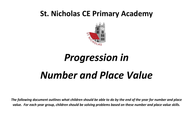# **St. Nicholas CE Primary Academy**



# *Progression in Number and Place Value*

*The following document outlines what children should be able to do by the end of the year for number and place value. For each year group, children should be solving problems based on these number and place value skills.*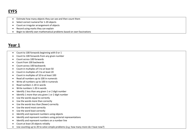## **EYFS**

- Estimate how many objects they can see and then count them
- Select correct numeral for 1-20 objects
- Count an irregular arrangement of objects
- Record using marks they can explain
- Begin to identify own mathematical problems based on own fascinations

- Count to 100 forwards beginning with 0 or 1
- Count to 100 forwards from any given number
- Count across 100 forwards
- Count from 100 backwards
- Count across 100 backwards
- Count in multiples of 5 to at least 50
- Count in multiples of 2 to at least 20
- Count in multiples of 10 to at least 100
- Read all numbers up to 100 in numerals
- Write all numbers up to 100 in numerals
- Read numbers 1-20 in words
- Write numbers 1-20 in words
- Identify 1 less than any given 1 or 2 digit number
- Identify 1 more than any given 1 or 2 digit number
- Use the words equal to correctly
- Use the words more than correctly
- Use the words less than (fewer) correctly
- Use the word most correctly
- Use the word least correctly
- Identify and represent numbers using objects
- Identify and represent numbers using pictorial representations
- Identify and represent numbers on a number line
- Count at least 20 objects reliably
- Use counting up to 20 to solve simple problems (e.g. how many more do I have now?)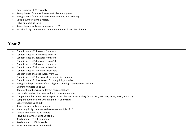- Order numbers 1-20 correctly
- Recognise 0 as 'none' and 'zero' in stories and rhymes
- Recognise 0 as 'none' and 'zero' when counting and ordering
- Double numbers up to 5 rapidly
- Halve numbers up to 10
- Recognise odd and even numbers up to 20
- Partition 2 digit number in to tens and units with Base 10 equipment

- Count in steps of 2 forwards from zero
- Count in steps of 2 backwards from 20
- Count in steps of 3 forwards from zero
- Count in steps of 3 backwards from 30
- Count in steps of 5 forwards from zero
- Count in steps of 5 backwards from 50
- Count in steps of 10 forwards from zero
- Count in steps of 10 backwards from 100
- Count in steps of 10 forwards from any 2 digit number
- Count in steps of 10 backwards from any 2 digit number
- Recognise the place value of each digit in a two-digit number (tens and units)
- Estimate numbers up to 100
- Represent numbers using different representations
- Use models such as the number line to represent numbers
- Compare numbers up to 100 using correct mathematical vocabulary (more than, less than, more, fewer, equal to)
- Compare numbers up to 100 using the  $\le$  > and = signs
- Order numbers up to 100
- Recognise odd and even numbers
- Round any 2 digit number to the nearest multiple of 10
- Double all numbers to 10 rapidly
- Halve even numbers up to 20 rapidly
- Read numbers to 100 in numerals
- Read number to 100 in words
- Write numbers to 100 in numerals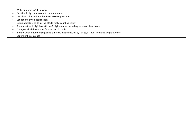- Write numbers to 100 in words
- Partition 2 digit numbers in to tens and units
- Use place value and number facts to solve problems
- Count up to 50 objects reliably
- Group objects in to 1s, 2s, 5s, 10s to make counting easier
- Know what each digit is worth in a 2 digit number (including zero as a place holder)
- Know/recall all the number facts up to 10 rapidly
- Identify what a number sequence is increasing/decreasing by (2s, 3s, 5s, 10s) from any 2 digit number
- Continue the sequence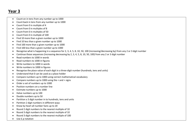- Count on in tens from any number up to 1000
- Count back in tens from any number up to 1000
- Count from 0 in multiple of 4
- Count from 0 in multiples of 8
- Count from 0 in multiples of 50
- Count from 0 in multiple of 100
- Find 10 more than a given number up to 1000
- Find 10 less than a given number up to 1000
- Find 100 more than a given number up to 1000
- Find 100 less than a given number up to 1000
- Recognise what is happening in a sequence for 2, 3, 4, 5, 8, 10, 50, 100 (increasing/decreasing by) from any 2 or 3 digit number
- Continue those sequences (increasing decreasing by 2, 3, 4, 5, 8, 10, 50, 100) from any 2 or 3 digit number
- Read numbers to 1000 in words
- Read numbers to 1000 in figures
- Write numbers to 1000 in words
- Write numbers to 1000 in figures
- Recognise the place value of each digit in a three-digit number (hundreds, tens and units)
- Understand that 0 can be used as a place holder
- Compare numbers up to 1000 using correct mathematical vocabulary
- Compare numbers up to 1000 using the < and > signs
- Order a set of numbers up to 1000
- Position numbers on a number line
- Estimate numbers up to 1000
- Halve numbers up to 100
- Double numbers up to 50
- Partition a 3 digit number in to hundreds, tens and units
- Partition 2 digit numbers in different ways
- Know by heart all number facts up to 20
- Round 2 digit numbers to the nearest multiple of 10
- Round 3 digit numbers to the nearest multiple of 10
- Round 3 digit numbers to the nearest multiple of 100
- Use £.p notation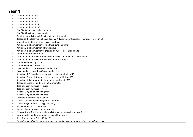- Count in multiples of 6
- Count in multiples of 7
- Count in multiples of 9
- Count in multiples of 25
- Count in multiples of 100
- Find 1000 more than a given number
- Find 1000 less than a given number
- Count backwards through 0 to include negative numbers
- Recognise the place value of each digit in a 4 digit number (thousands, hundreds, tens, units)
- Understand that 0 can be used as a place holder
- Partition 3 digit numbers in to hundreds, tens and units
- Partition 3 digit numbers in different ways
- Partition 4 digit numbers in to thousands, hundreds, tens and units
- Order numbers beyond 1000
- Compare numbers beyond 1000 using the correct mathematical vocabulary
- Compare numbers beyond 1000 using the < and > signs
- Estimate numbers up to 1000
- Estimate numbers beyond 1000
- Place numbers up to 1000 on a number line
- Place numbers beyond 1000 on a number line
- Round any 2, 3 or 4 digit number to the nearest multiple of 10
- Round any 3 or 4 digit number to the nearest multiple of 100
- Round any 4 digit number to the nearest multiple of 1000
- Recognise negative numbers on a thermometer
- Read all 3 digit numbers in figures
- Read all 3 digit numbers in words
- Write all 3 digit numbers in figures
- Write all 3 digit numbers in words
- Compare numbers using  $\lt$  > and =
- Double numbers to 100 using mental methods
- Double 3 digit numbers using partitioning
- Halve numbers to 100 mentally
- Halve 3 digit numbers using partitioning
- Convert simple fractions in to decimals (using fraction wall to support)
- Start to understand the value of tenths and hundreths
- *Read Roman numerals to 100 (I to C)*
- *Know that over time the numeral system changed to include the concept of zero and place value*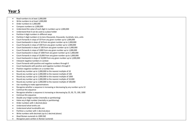- Read numbers to at least 1,000,000
- Write numbers to at least 1,000,000
- Order numbers to 1,000,000
- Compare numbers to 1,000,000
- Understand the value of each digit in numbers up to 1,000,000
- Understand that 0 can be used as a place holder
- Partition 4 digit numbers in different ways
- Partition 5 digit numbers in to tens-thousands, thousands, hundreds, tens, units
- Count forwards in steps of 10 from any given number up to 1,000,000
- Count backwards in steps of 10 from any given number up to 1,000,000
- Count forwards in steps of 100 from any given number up to 1,000,000
- Count backwards in steps of 100 from any given number up to 1,000,000
- Count forwards in steps of 1000 from any given number up to 1,000,000
- Count backwards in steps of 1000 from any given number up to 1,000,000
- Count forwards in steps of 10,000 from any given number up to 1,000,000
- Count backwards in steps of 10,000 from any given number up to 1,000,000
- Interpret negative numbers in context
- Count forwards with positive and negative numbers through 0
- Count backwards with positive and negative numbers through 0
- Position negative numbers on a number line
- Round any number up to 1,000,000 to the nearest multiple of 10
- Round any number up to 1,000,000 to the nearest multiple of 100
- Round any number up to 1,000,000 to the nearest multiple of 1000
- Round any number up to 1,000,000 to the nearest multiple of 10,000
- Round any number up to 1,000,000 to the nearest multiple of 100,000
- Use rounding to make approximations
- Recognise whether a sequence is increasing or decreasing by any number up to 12
- Continue this sequence
- Recognise whether a sequence is increasing or decreasing by 25, 50, 75, 100, 1000
- Continue this sequence
- Double any 4 digit number (mentally or partitioning)
- Halve any 4 digit number (mentally or partitioning)
- Order numbers with 1 decimal place
- Understand what tenths are
- Understand what hundredths are
- Partition a number with 1 decimal place
- Write numbers with decimals (up to 2 decimal places)
- *Read Roman numerals to 1000 (M)*
- *Recognise years written in Roman numerals*